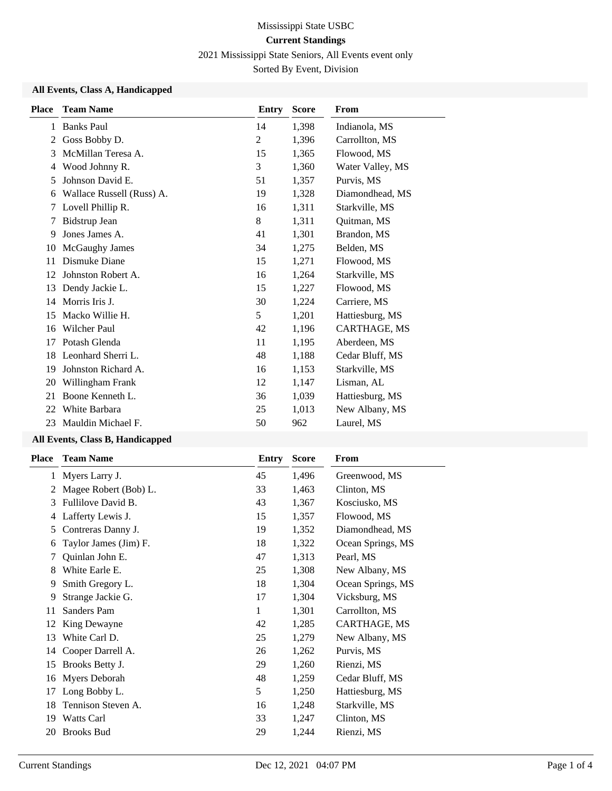2021 Mississippi State Seniors, All Events event only

Sorted By Event, Division

#### **All Events, Class A, Handicapped**

| <b>Place</b> | <b>Team Name</b>          | Entry | <b>Score</b> | From             |
|--------------|---------------------------|-------|--------------|------------------|
| 1            | <b>Banks Paul</b>         | 14    | 1,398        | Indianola, MS    |
| 2            | Goss Bobby D.             | 2     | 1,396        | Carrollton, MS   |
| 3            | McMillan Teresa A.        | 15    | 1,365        | Flowood, MS      |
| 4            | Wood Johnny R.            | 3     | 1,360        | Water Valley, MS |
| 5            | Johnson David E.          | 51    | 1,357        | Purvis, MS       |
| 6            | Wallace Russell (Russ) A. | 19    | 1,328        | Diamondhead, MS  |
| 7            | Lovell Phillip R.         | 16    | 1,311        | Starkville, MS   |
| 7            | <b>Bidstrup Jean</b>      | 8     | 1,311        | Quitman, MS      |
| 9            | Jones James A.            | 41    | 1,301        | Brandon, MS      |
| 10           | McGaughy James            | 34    | 1,275        | Belden, MS       |
| 11           | Dismuke Diane             | 15    | 1,271        | Flowood, MS      |
| 12           | Johnston Robert A.        | 16    | 1,264        | Starkville, MS   |
| 13           | Dendy Jackie L.           | 15    | 1,227        | Flowood, MS      |
| 14           | Morris Iris J.            | 30    | 1,224        | Carriere, MS     |
| 15           | Macko Willie H.           | 5     | 1,201        | Hattiesburg, MS  |
| 16           | <b>Wilcher Paul</b>       | 42    | 1,196        | CARTHAGE, MS     |
| 17           | Potash Glenda             | 11    | 1,195        | Aberdeen, MS     |
| 18           | Leonhard Sherri L.        | 48    | 1,188        | Cedar Bluff, MS  |
| 19           | Johnston Richard A.       | 16    | 1,153        | Starkville, MS   |
| 20           | Willingham Frank          | 12    | 1,147        | Lisman, AL       |
| 21           | Boone Kenneth L.          | 36    | 1,039        | Hattiesburg, MS  |
| 22           | White Barbara             | 25    | 1,013        | New Albany, MS   |
| 23           | Mauldin Michael F.        | 50    | 962          | Laurel, MS       |

# **All Events, Class B, Handicapped**

| <b>Place</b> | <b>Team Name</b>      | Entry | <b>Score</b> | <b>From</b>       |
|--------------|-----------------------|-------|--------------|-------------------|
|              | 1 Myers Larry J.      | 45    | 1,496        | Greenwood, MS     |
| 2            | Magee Robert (Bob) L. | 33    | 1,463        | Clinton, MS       |
| 3            | Fullilove David B.    | 43    | 1,367        | Kosciusko, MS     |
| 4            | Lafferty Lewis J.     | 15    | 1,357        | Flowood, MS       |
| 5            | Contreras Danny J.    | 19    | 1,352        | Diamondhead, MS   |
| 6            | Taylor James (Jim) F. | 18    | 1,322        | Ocean Springs, MS |
| 7            | Quinlan John E.       | 47    | 1,313        | Pearl, MS         |
| 8            | White Earle E.        | 25    | 1,308        | New Albany, MS    |
| 9            | Smith Gregory L.      | 18    | 1,304        | Ocean Springs, MS |
| 9            | Strange Jackie G.     | 17    | 1,304        | Vicksburg, MS     |
| 11           | Sanders Pam           | 1     | 1,301        | Carrollton, MS    |
| 12           | King Dewayne          | 42    | 1,285        | CARTHAGE, MS      |
| 13           | White Carl D.         | 25    | 1,279        | New Albany, MS    |
| 14           | Cooper Darrell A.     | 26    | 1,262        | Purvis, MS        |
| 15           | Brooks Betty J.       | 29    | 1,260        | Rienzi, MS        |
| 16           | Myers Deborah         | 48    | 1,259        | Cedar Bluff, MS   |
| 17           | Long Bobby L.         | 5     | 1,250        | Hattiesburg, MS   |
| 18           | Tennison Steven A.    | 16    | 1,248        | Starkville, MS    |
| 19           | Watts Carl            | 33    | 1,247        | Clinton, MS       |
| 20           | <b>Brooks Bud</b>     | 29    | 1,244        | Rienzi, MS        |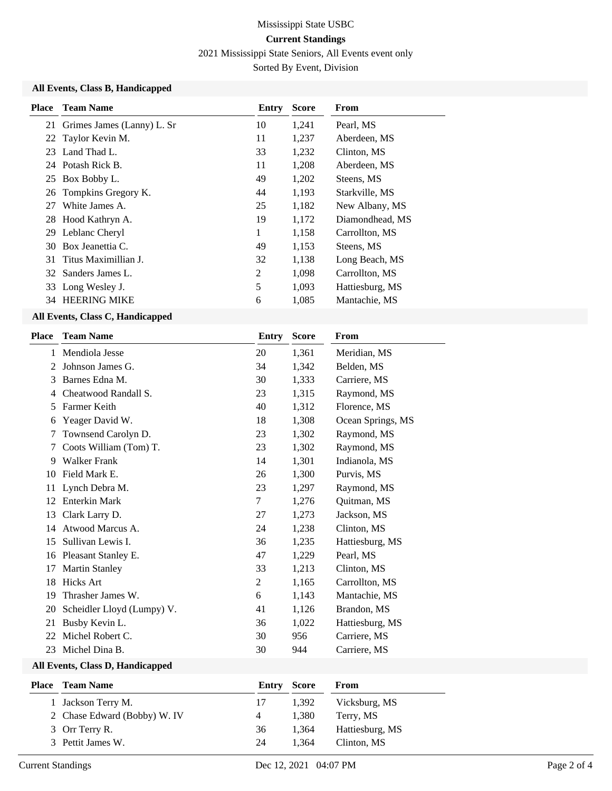2021 Mississippi State Seniors, All Events event only

Sorted By Event, Division

## **All Events, Class B, Handicapped**

| <b>Place</b> | <b>Team Name</b>              | Entry | <b>Score</b> | From            |
|--------------|-------------------------------|-------|--------------|-----------------|
|              | 21 Grimes James (Lanny) L. Sr | 10    | 1,241        | Pearl, MS       |
|              | 22 Taylor Kevin M.            | 11    | 1,237        | Aberdeen, MS    |
|              | 23 Land Thad L.               | 33    | 1,232        | Clinton, MS     |
|              | 24 Potash Rick B.             | 11    | 1,208        | Aberdeen, MS    |
|              | 25 Box Bobby L.               | 49    | 1,202        | Steens, MS      |
|              | 26 Tompkins Gregory K.        | 44    | 1,193        | Starkville, MS  |
| 27           | White James A.                | 25    | 1,182        | New Albany, MS  |
|              | 28 Hood Kathryn A.            | 19    | 1,172        | Diamondhead, MS |
| 29           | Leblanc Cheryl                | 1     | 1,158        | Carrollton, MS  |
|              | 30 Box Jeanettia C.           | 49    | 1,153        | Steens, MS      |
|              | 31 Titus Maximillian J.       | 32    | 1,138        | Long Beach, MS  |
|              | 32 Sanders James L.           | 2     | 1,098        | Carrollton, MS  |
|              | 33 Long Wesley J.             | 5     | 1,093        | Hattiesburg, MS |
|              | 34 HEERING MIKE               | 6     | 1,085        | Mantachie, MS   |

#### **All Events, Class C, Handicapped**

| <b>Place</b> | <b>Team Name</b>           | Entry | <b>Score</b> | From              |
|--------------|----------------------------|-------|--------------|-------------------|
| 1            | Mendiola Jesse             | 20    | 1,361        | Meridian, MS      |
| 2            | Johnson James G.           | 34    | 1,342        | Belden, MS        |
| 3            | Barnes Edna M.             | 30    | 1,333        | Carriere, MS      |
| 4            | Cheatwood Randall S.       | 23    | 1,315        | Raymond, MS       |
| 5            | Farmer Keith               | 40    | 1,312        | Florence, MS      |
| 6            | Yeager David W.            | 18    | 1,308        | Ocean Springs, MS |
| 7            | Townsend Carolyn D.        | 23    | 1,302        | Raymond, MS       |
| 7            | Coots William (Tom) T.     | 23    | 1,302        | Raymond, MS       |
| 9            | <b>Walker Frank</b>        | 14    | 1,301        | Indianola, MS     |
| 10           | Field Mark E.              | 26    | 1,300        | Purvis, MS        |
| 11           | Lynch Debra M.             | 23    | 1,297        | Raymond, MS       |
| 12           | <b>Enterkin Mark</b>       | 7     | 1,276        | Quitman, MS       |
| 13           | Clark Larry D.             | 27    | 1,273        | Jackson, MS       |
| 14           | Atwood Marcus A.           | 24    | 1,238        | Clinton, MS       |
| 15           | Sullivan Lewis I.          | 36    | 1,235        | Hattiesburg, MS   |
| 16           | Pleasant Stanley E.        | 47    | 1,229        | Pearl, MS         |
| 17           | <b>Martin Stanley</b>      | 33    | 1,213        | Clinton, MS       |
| 18           | <b>Hicks Art</b>           | 2     | 1,165        | Carrollton, MS    |
| 19           | Thrasher James W.          | 6     | 1,143        | Mantachie, MS     |
| 20           | Scheidler Lloyd (Lumpy) V. | 41    | 1,126        | Brandon, MS       |
| 21           | Busby Kevin L.             | 36    | 1,022        | Hattiesburg, MS   |
| 22           | Michel Robert C.           | 30    | 956          | Carriere, MS      |
| 23           | Michel Dina B.             | 30    | 944          | Carriere, MS      |

#### **All Events, Class D, Handicapped**

| <b>Place</b> Team Name       |    | <b>Entry Score</b> | From            |
|------------------------------|----|--------------------|-----------------|
| 1 Jackson Terry M.           | 17 | 1.392              | Vicksburg, MS   |
| 2 Chase Edward (Bobby) W. IV | 4  | 1.380              | Terry, MS       |
| 3 Orr Terry R.               | 36 | 1.364              | Hattiesburg, MS |
| 3 Pettit James W.            | 24 | 1.364              | Clinton, MS     |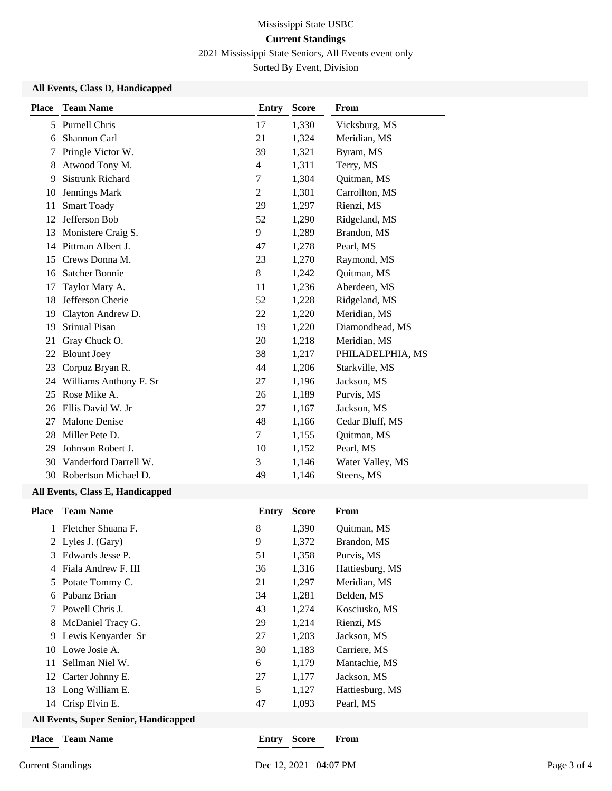2021 Mississippi State Seniors, All Events event only

Sorted By Event, Division

## **All Events, Class D, Handicapped**

| <b>Place</b> | <b>Team Name</b>        | <b>Entry</b>   | <b>Score</b> | <b>From</b>      |
|--------------|-------------------------|----------------|--------------|------------------|
| 5            | Purnell Chris           | 17             | 1,330        | Vicksburg, MS    |
| 6            | Shannon Carl            | 21             | 1,324        | Meridian, MS     |
| 7            | Pringle Victor W.       | 39             | 1,321        | Byram, MS        |
| 8            | Atwood Tony M.          | 4              | 1,311        | Terry, MS        |
| 9            | <b>Sistrunk Richard</b> | 7              | 1,304        | Quitman, MS      |
| 10           | Jennings Mark           | $\overline{2}$ | 1,301        | Carrollton, MS   |
| 11           | <b>Smart Toady</b>      | 29             | 1,297        | Rienzi, MS       |
| 12           | Jefferson Bob           | 52             | 1,290        | Ridgeland, MS    |
| 13           | Monistere Craig S.      | 9              | 1,289        | Brandon, MS      |
| 14           | Pittman Albert J.       | 47             | 1,278        | Pearl, MS        |
| 15           | Crews Donna M.          | 23             | 1,270        | Raymond, MS      |
| 16           | <b>Satcher Bonnie</b>   | 8              | 1,242        | Quitman, MS      |
| 17           | Taylor Mary A.          | 11             | 1,236        | Aberdeen, MS     |
| 18           | Jefferson Cherie        | 52             | 1,228        | Ridgeland, MS    |
| 19           | Clayton Andrew D.       | 22             | 1,220        | Meridian, MS     |
| 19           | Srinual Pisan           | 19             | 1,220        | Diamondhead, MS  |
| 21           | Gray Chuck O.           | 20             | 1,218        | Meridian, MS     |
| 22           | <b>Blount Joey</b>      | 38             | 1,217        | PHILADELPHIA, MS |
| 23           | Corpuz Bryan R.         | 44             | 1,206        | Starkville, MS   |
| 24           | Williams Anthony F. Sr  | 27             | 1,196        | Jackson, MS      |
| 25           | Rose Mike A.            | 26             | 1,189        | Purvis, MS       |
| 26           | Ellis David W. Jr       | 27             | 1,167        | Jackson, MS      |
| 27           | <b>Malone Denise</b>    | 48             | 1,166        | Cedar Bluff, MS  |
| 28           | Miller Pete D.          | $\tau$         | 1,155        | Quitman, MS      |
| 29           | Johnson Robert J.       | 10             | 1,152        | Pearl, MS        |
| 30           | Vanderford Darrell W.   | 3              | 1,146        | Water Valley, MS |
| 30           | Robertson Michael D.    | 49             | 1,146        | Steens, MS       |
|              |                         |                |              |                  |

## **All Events, Class E, Handicapped**

| <b>Place</b>                                 | <b>Team Name</b>    | Entry | <b>Score</b> | From            |
|----------------------------------------------|---------------------|-------|--------------|-----------------|
| 1                                            | Fletcher Shuana F.  | 8     | 1,390        | Quitman, MS     |
|                                              | 2 Lyles J. (Gary)   | 9     | 1,372        | Brandon, MS     |
| 3                                            | Edwards Jesse P.    | 51    | 1,358        | Purvis, MS      |
| 4                                            | Fiala Andrew F. III | 36    | 1,316        | Hattiesburg, MS |
| 5                                            | Potate Tommy C.     | 21    | 1,297        | Meridian, MS    |
| 6                                            | Pabanz Brian        | 34    | 1,281        | Belden, MS      |
|                                              | Powell Chris J.     | 43    | 1,274        | Kosciusko, MS   |
| 8                                            | McDaniel Tracy G.   | 29    | 1,214        | Rienzi, MS      |
| 9                                            | Lewis Kenyarder Sr  | 27    | 1,203        | Jackson, MS     |
| 10                                           | Lowe Josie A.       | 30    | 1,183        | Carriere, MS    |
| 11                                           | Sellman Niel W.     | 6     | 1,179        | Mantachie, MS   |
|                                              | 12 Carter Johnny E. | 27    | 1,177        | Jackson, MS     |
| 13                                           | Long William E.     | 5     | 1,127        | Hattiesburg, MS |
|                                              | 14 Crisp Elvin E.   | 47    | 1,093        | Pearl, MS       |
| <b>All Events, Super Senior, Handicapped</b> |                     |       |              |                 |
| Place                                        | <b>Team Name</b>    | Entry | <b>Score</b> | From            |